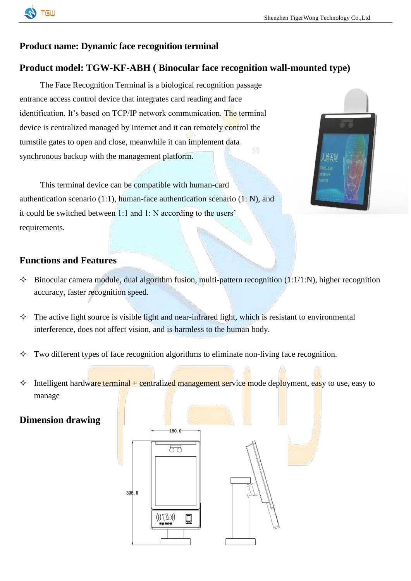

## **Product name: Dynamic face recognition terminal**

### **Product model: TGW-KF-ABH ( Binocular face recognition wall-mounted type)**

The Face Recognition Terminal is a biological recognition passage entrance access control device that integrates card reading and face identification. It's based on TCP/IP network communication. The terminal device is centralized managed by Internet and it can remotely control the turnstile gates to open and close, meanwhile it can implement data synchronous backup with the management platform.

This terminal device can be compatible with human-card authentication scenario (1:1), human-face authentication scenario (1: N), and it could be switched between 1:1 and 1: N according to the users' requirements.



#### **Functions and Features**

- $\Diamond$  Binocular camera module, dual algorithm fusion, multi-pattern recognition (1:1/1:N), higher recognition accuracy, faster recognition speed.
- $\Diamond$  The active light source is visible light and near-infrared light, which is resistant to environmental interference, does not affect vision, and is harmless to the human body.
- Two different types of face recognition algorithms to eliminate non-living face recognition.
- $\Diamond$  Intelligent hardware terminal + centralized management service mode deployment, easy to use, easy to manage

#### **Dimension drawing**